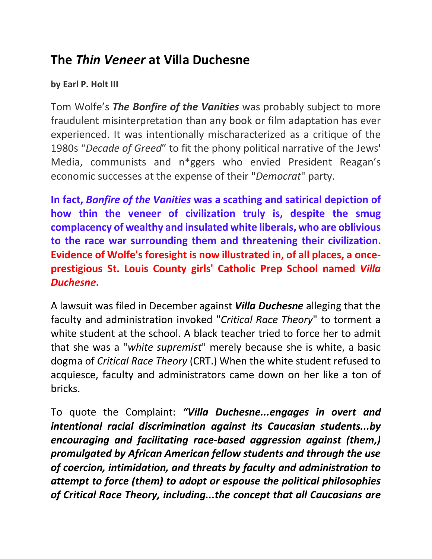## **The** *Thin Veneer* **at Villa Duchesne**

**by Earl P. Holt III**

Tom Wolfe's *The Bonfire of the Vanities* was probably subject to more fraudulent misinterpretation than any book or film adaptation has ever experienced. It was intentionally mischaracterized as a critique of the 1980s "*Decade of Greed*" to fit the phony political narrative of the Jews' Media, communists and n\*ggers who envied President Reagan's economic successes at the expense of their "*Democrat*" party.

**In fact,** *Bonfire of the Vanities* **was a scathing and satirical depiction of how thin the veneer of civilization truly is, despite the smug complacency of wealthy and insulated white liberals, who are oblivious to the race war surrounding them and threatening their civilization. Evidence of Wolfe's foresight is now illustrated in, of all places, a onceprestigious St. Louis County girls' Catholic Prep School named** *Villa Duchesne***.**

A lawsuit was filed in December against *Villa Duchesne* alleging that the faculty and administration invoked "*Critical Race Theory*" to torment a white student at the school. A black teacher tried to force her to admit that she was a "*white supremist*" merely because she is white, a basic dogma of *Critical Race Theory* (CRT.) When the white student refused to acquiesce, faculty and administrators came down on her like a ton of bricks.

To quote the Complaint: *"Villa Duchesne...engages in overt and intentional racial discrimination against its Caucasian students...by encouraging and facilitating race-based aggression against (them,) promulgated by African American fellow students and through the use of coercion, intimidation, and threats by faculty and administration to attempt to force (them) to adopt or espouse the political philosophies of Critical Race Theory, including...the concept that all Caucasians are*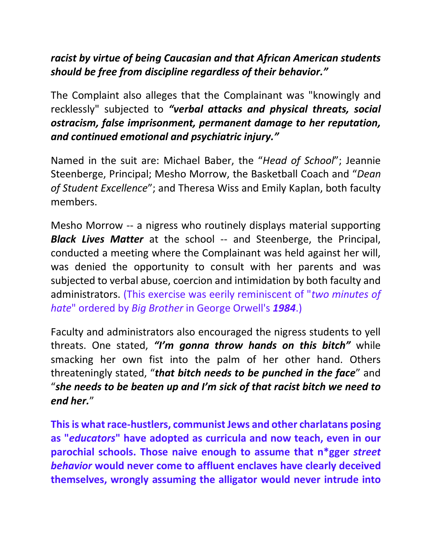## *racist by virtue of being Caucasian and that African American students should be free from discipline regardless of their behavior."*

The Complaint also alleges that the Complainant was "knowingly and recklessly" subjected to *"verbal attacks and physical threats, social ostracism, false imprisonment, permanent damage to her reputation, and continued emotional and psychiatric injury."*

Named in the suit are: Michael Baber, the "*Head of School*"; Jeannie Steenberge, Principal; Mesho Morrow, the Basketball Coach and "*Dean of Student Excellence*"; and Theresa Wiss and Emily Kaplan, both faculty members.

Mesho Morrow -- a nigress who routinely displays material supporting *Black Lives Matter* at the school -- and Steenberge, the Principal, conducted a meeting where the Complainant was held against her will, was denied the opportunity to consult with her parents and was subjected to verbal abuse, coercion and intimidation by both faculty and administrators. (This exercise was eerily reminiscent of "*two minutes of hate*" ordered by *Big Brother* in George Orwell's *1984*.)

Faculty and administrators also encouraged the nigress students to yell threats. One stated, *"I'm gonna throw hands on this bitch"* while smacking her own fist into the palm of her other hand. Others threateningly stated, "*that bitch needs to be punched in the face*" and "*she needs to be beaten up and I'm sick of that racist bitch we need to end her.*"

**This is what race-hustlers, communist Jews and other charlatans posing as "***educators***" have adopted as curricula and now teach, even in our parochial schools. Those naive enough to assume that n\*gger** *street behavior* **would never come to affluent enclaves have clearly deceived themselves, wrongly assuming the alligator would never intrude into**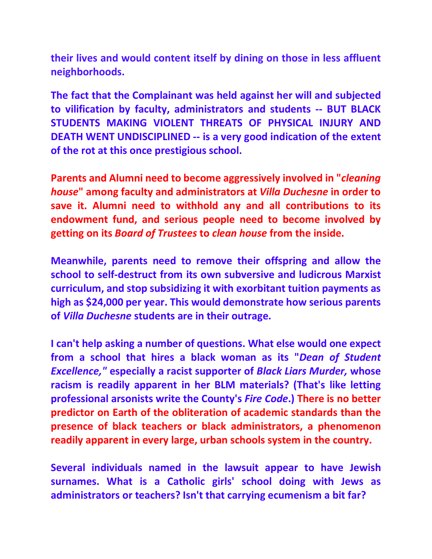**their lives and would content itself by dining on those in less affluent neighborhoods.** 

**The fact that the Complainant was held against her will and subjected to vilification by faculty, administrators and students -- BUT BLACK STUDENTS MAKING VIOLENT THREATS OF PHYSICAL INJURY AND DEATH WENT UNDISCIPLINED -- is a very good indication of the extent of the rot at this once prestigious school.**

**Parents and Alumni need to become aggressively involved in "***cleaning house***" among faculty and administrators at** *Villa Duchesne* **in order to save it. Alumni need to withhold any and all contributions to its endowment fund, and serious people need to become involved by getting on its** *Board of Trustees* **to** *clean house* **from the inside.**

**Meanwhile, parents need to remove their offspring and allow the school to self-destruct from its own subversive and ludicrous Marxist curriculum, and stop subsidizing it with exorbitant tuition payments as high as \$24,000 per year. This would demonstrate how serious parents of** *Villa Duchesne* **students are in their outrage.** 

**I can't help asking a number of questions. What else would one expect from a school that hires a black woman as its "***Dean of Student Excellence,"* **especially a racist supporter of** *Black Liars Murder,* **whose racism is readily apparent in her BLM materials? (That's like letting professional arsonists write the County's** *Fire Code***.) There is no better predictor on Earth of the obliteration of academic standards than the presence of black teachers or black administrators, a phenomenon readily apparent in every large, urban schools system in the country.**

**Several individuals named in the lawsuit appear to have Jewish surnames. What is a Catholic girls' school doing with Jews as administrators or teachers? Isn't that carrying ecumenism a bit far?**